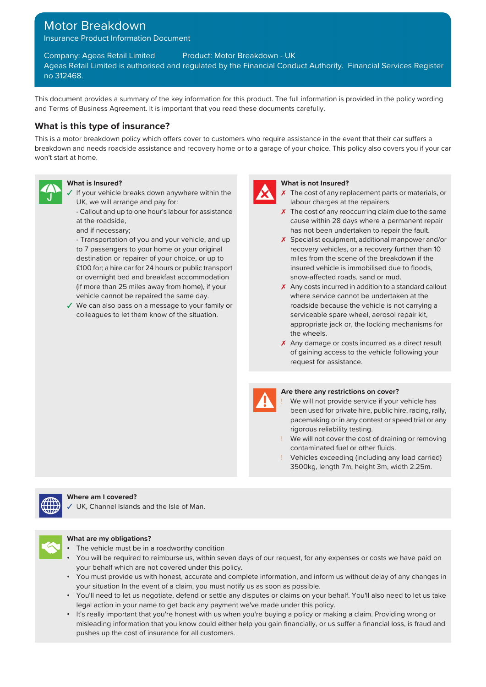# Motor Breakdown

Insurance Product Information Document

Company: Ageas Retail Limited Product: Motor Breakdown - UK Ageas Retail Limited is authorised and regulated by the Financial Conduct Authority. Financial Services Register no 312468.

This document provides a summary of the key information for this product. The full information is provided in the policy wording and Terms of Business Agreement. It is important that you read these documents carefully.

## **What is this type of insurance?**

This is a motor breakdown policy which offers cover to customers who require assistance in the event that their car suffers a breakdown and needs roadside assistance and recovery home or to a garage of your choice. This policy also covers you if your car won't start at home.



- $\checkmark$  If your vehicle breaks down anywhere within the UK, we will arrange and pay for:
	- at the roadside,
	- and if necessary;

destination or repairer of your choice, or up to miles from the scene of the breakdown if the £100 for; a hire car for 24 hours or public transport insured vehicle is immobilised due to floods, or overnight bed and breakfast accommodation snow-affected roads, sand or mud. (if more than 25 miles away from home), if your vehicle cannot be repaired the same day.

✓ We can also pass on a message to your family or roadside because the vehicle is not carrying a colleagues to let them know of the situation. Serviceable spare wheel, aerosol repair kit,



#### **What is Insured? What is not Insured?**

- $\chi$  The cost of any replacement parts or materials, or labour charges at the repairers.
- Callout and up to one hour's labour for assistance  $\lambda$  The cost of any reoccurring claim due to the same cause within 28 days where a permanent repair has not been undertaken to repair the fault.
- Transportation of you and your vehicle, and up **X** Specialist equipment, additional manpower and/or to 7 passengers to your home or your original recovery vehicles, or a recovery further than 10
	- ✗ Any costs incurred in addition to a standard callout where service cannot be undertaken at the appropriate jack or, the locking mechanisms for the wheels.
	- X Any damage or costs incurred as a direct result of gaining access to the vehicle following your request for assistance.



#### **Are there any restrictions on cover?**

- We will not provide service if your vehicle has been used for private hire, public hire, racing, rally, pacemaking or in any contest or speed trial or any rigorous reliability testing.
- ! We will not cover the cost of draining or removing contaminated fuel or other fluids.
- Vehicles exceeding (including any load carried) 3500kg, length 7m, height 3m, width 2.25m.



#### **Where am I covered?**

UK, Channel Islands and the Isle of Man.



#### **What are my obligations?**

- The vehicle must be in a roadworthy condition
- You will be required to reimburse us, within seven days of our request, for any expenses or costs we have paid on your behalf which are not covered under this policy.
- You must provide us with honest, accurate and complete information, and inform us without delay of any changes in your situation In the event of a claim, you must notify us as soon as possible.
- You'll need to let us negotiate, defend or settle any disputes or claims on your behalf. You'll also need to let us take legal action in your name to get back any payment we've made under this policy.
- It's really important that you're honest with us when you're buying a policy or making a claim. Providing wrong or misleading information that you know could either help you gain financially, or us suffer a financial loss, is fraud and pushes up the cost of insurance for all customers.